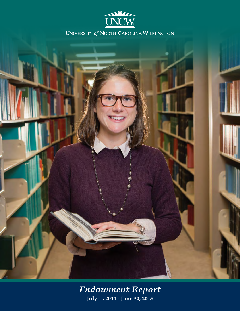



*Endowment Report* **July 1 , 2014 - June 30, 2015**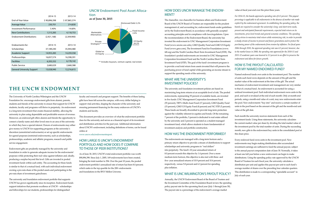The University of North Carolina Wilmington and the UNCW Foundation Inc. encourage endowment gifts from alumni, parents, students and friends of the university to ensure that support for UNCW students, faculty and programs will thrive in perpetuity. An endowment is a long-term investment that creates financial stability, allowing the university to plan using dependable and predictable sources of revenue. Moreover, an endowed gift offers alumni and friends the opportunity to connect a family name and other loved ones to an area of the university in which they have a special interest. Donors of endowments may either give money to UNCW for supporting programs at the university's discretion (unrestricted endowments) or set up specific endowments for agreed purposes (restricted endowments), such as scholarships, professorships, academic and athletic programs, research and public service engagement.

Endowment gifts are prudently managed by the university and foundation in order to generate adequate income for the endowments' purposes while protecting their real value against inflation and, ideally, producing a surplus beyond this level. Gifts are invested in pooled investment funds within each entity. The accounting for these funds is similar to that of a mutual fund, with each individual endowment owning a pro-rata share of the pooled assets and participating in the pro-rata share of investment gains/losses.

The university and foundation endowment portfolio that supports UNCW has grown significantly since its inception. Endowment funds support initiatives that promote excellence at UNCW – scholarships and fellowships for our students, professorships for distinguished

faculty and research and program support. The benefits of these lasting gifts have been felt across the campus, with every dollar helping to support vital activities, shaping the character of the university and ensuring permanent financing for the many endeavors of UNCW's students and faculty.

This document provides an overview of what the endowment portfolio does for the university and serves as a financial report of its investment and distribution activities for the past year. Additional information about UNCW's endowment, including definitions of terms, can be found online at

www.uncw.edu/endowmentreport.

# HOW LARGE IS UNCW'S ENDOWMENT PORTFOLIO AND HOW DOES IT COMPARE TO THOSE OF PEER INSTITUTIONS?

As of June 30, 2015, UNCW's total endowment portfolio was worth \$90,896,398. Since July 1, 2005, 169 endowments have been created, bringing the total number to 394. Over the past 10 years, the pooled endowment portfolio's annualized rate of return has been 8.0 percent; which ranks in the top quartile for the 200+ endowments and foundations in the BNY Mellon Universe.

# **THE UNCW ENDOWMENT**

|                                   | 2014-15      | 2013-14      |  |
|-----------------------------------|--------------|--------------|--|
| <b>Fnd-of-Year Value</b>          | \$90,896,398 | \$87,865,374 |  |
| Average Value                     | 230,701      | 214,830      |  |
| Investment Performance            | 5.40%        | 14.60%       |  |
| <b>New Contributions</b>          | 1,515,283    | 4,118,753    |  |
| <b>Endowment Distributions</b>    | (2,921,168)  | (2,309,900)  |  |
| Endowments for:                   | 2014-15      | 2013-14      |  |
| Scholarships                      | 37,189,240   | 35,944,480   |  |
| Academic Support                  | 14,955,283   | 14,259,358   |  |
| Professorships                    | 16,837,574   | 16,598,391   |  |
| <b>Facilities</b>                 | 6,205,332    | 6,178,142    |  |
| <b>Public Service</b>             | 2,680,029    | 2,668,388    |  |
| <b>General University Support</b> | 13,028,940   | 12,216,615   |  |

### HOW DOES UNCW MANAGE THE ENDOW-MENT?

# WHAT ARE THE UNIVERSITY'S INVESTMENT POLICIES?

The university and foundation investment policies are based on maximizing long-term returns at an acceptable level of risk. The pooled endowments, representing 93 percent of available funds, are invested in five funds: UNC Management Corporation Investment Fund (55 percent), TIFF's Multi-Asset Fund (17 percent), GMO Quality Fund (15 percent), GMO US Equity Fund (8 percent) and NC STIF (5 percent). These funds are broadly diversified to provide long-term protection against the volatility inherent in equities and bonds. Of the remaining 7 percent of the portfolio, 5 percent is dedicated to real estate utilized by the university and 2 percent is operated as a student-managed investment fund, which allows students to learn fundamentals of investment analysis and portfolio construction.

#### HOW HAS THE ENDOWMENT PERFORMED?

The chancellor, vice chancellor for business affairs and Endowment Board of the UNCW Board of Trustees are responsible for the prudent management of, and accounting for, endowment funds under guidelines set by the Endowment Board, in accordance with generally accepted accounting principles and in compliance with laws/regulations. Upon the recommendation of the Endowment Board, the university has invested the endowment in UNC Management Corporation Investment Fund (www.uncmc.unc.edu), GMO Quality Fund and GMO US Equity Fund (www.gmo.com), The Investment Fund for Foundations (www. tiff.org) and the North Carolina Short-Term Investment Fund (STIF). The foundation's pooled endowments are invested in UNC Management Corporation Investment Fund and the North Carolina Short-Term Investment Fund (STIF). The goal of the fund's investment program is to provide a real total return from assets invested that will preserve the purchasing power of fund capital while generating an income stream to support the spending needs of the university. *For 2014-15, the boards approved a spending rate of 4.5 percent. This payout percentage is applicable to all endowments in the absence of another rate made explicit by the endowment agreement. In establishing the spending policy, the boards are required to consider the university's long- and short-term needs, present and anticipated financial requirements, expected total return on its investments, price-level trends and general economic conditions. The spending policy strives to maximize total return while minimizing risk, in order to provide a steady stream of income to present and future generations and to protect the purchasing power of the endowments from erosion by inflation. For fiscal years 2006 through 2010, the approved spending rate was 4.5 percent; however, due to the market losses in 2008, the spending rate approved for the 2010-11 and 2011-12 academic years was lowered to 3.5 percent in an effort to preserve the endowment and allow for future growth.* HOW IS THE PAYOUT CALCULATED FOR MY NAMED ENDOWED FUND?

Annually, the UNCW Endowment Board of the Board of Trustees and the Investment Committee of the Foundation Board review the spending policy payout rate for the upcoming fiscal year (July 1 through June 30). The payout rate is a percentage of the endowment's average market

The endowments are managed with a long-term horizon and a primary return objective to provide a stream of distributions to support scholarships and university programs in "real dollars" into perpetuity. The fund's 10-year annualized return of 8.0 percent exceeds this objective by 1.4 percent. Over a more medium-term horizon, this objective is also met with three- and five- year annualized returns of 10.9 percent and 10.4 percent, respectively, versus 5.8 percent and 6.3 percent for spending plus inflation. WHAT IS UNC WILMINGTON'S PAYOUT POLICY? Every endowed fund owns units in the investment pool. New endowments may begin making distributions after accumulated investment earnings are sufficient to fund the annual payout, subject to the annual payout computation date of June 30. Normally, it takes at least one full year before a new endowment can begin to make distributions. Using the spending policy rate approved by the UNCW Board of Trustees for each fiscal year, the university calculates a distribution per unit and applies this payout per unit to each fund's average number of shares over the preceding four calendar quarters. This distribution is made to a corresponding "spendable account" in July of each year.

Named endowed funds own units in the investment pool. The number of units each fund owns depends on the amount of the gift and the market value of the endowment at the time of the gift. The actual mechanics of endowment investment and management are very similar to that of a mutual fund. An endowment is accounted for using a unitized investment pool. Each individual endowment owns units in the pool, and each is revalued at the end of each month. Only at month-end periods, using a month-end value of a unit, may new endowments enter the pool. New endowments "buy into" and receive a certain number of units in the pool based on the amount of the gift and the month-end unit value at the gift date.

Each month the university receives statements from each of the investment funds. Using these statements, the university calculates the current market value per share by dividing the total market value of the investment pool by the total number of units. During the succeeding month, new gifts to the endowment buy units in the consolidated pool at this share price.

### UNCW Endowment Pool Asset Allocation

**as of June 30, 2015**



\*\* Includes buyouts, venture capital, real estate